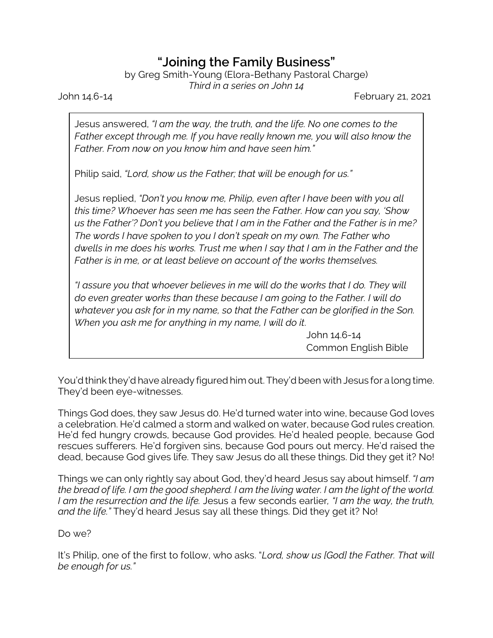## **"Joining the Family Business"**

by Greg Smith-Young (Elora-Bethany Pastoral Charge) *Third in a series on John 14*

John 14.6-14 February 21, 2021

Jesus answered, *"I am the way, the truth, and the life. No one comes to the Father except through me. If you have really known me, you will also know the Father. From now on you know him and have seen him."*

Philip said, *"Lord, show us the Father; that will be enough for us."*

Jesus replied, *"Don't you know me, Philip, even after I have been with you all this time? Whoever has seen me has seen the Father. How can you say, 'Show us the Father'? Don't you believe that I am in the Father and the Father is in me? The words I have spoken to you I don't speak on my own. The Father who dwells in me does his works. Trust me when I say that I am in the Father and the Father is in me, or at least believe on account of the works themselves.*

*"I assure you that whoever believes in me will do the works that I do. They will do even greater works than these because I am going to the Father. I will do whatever you ask for in my name, so that the Father can be glorified in the Son. When you ask me for anything in my name, I will do it*.

> John 14.6-14 Common English Bible

You'd think they'd have already figured him out. They'd been with Jesus for a long time. They'd been eye-witnesses.

Things God does, they saw Jesus d0. He'd turned water into wine, because God loves a celebration. He'd calmed a storm and walked on water, because God rules creation. He'd fed hungry crowds, because God provides. He'd healed people, because God rescues sufferers. He'd forgiven sins, because God pours out mercy. He'd raised the dead, because God gives life. They saw Jesus do all these things. Did they get it? No!

Things we can only rightly say about God, they'd heard Jesus say about himself. *"I am the bread of life. I am the good shepherd. I am the living water. I am the light of the world. I am the resurrection and the life.* Jesus a few seconds earlier*, "I am the way, the truth, and the life."* They'd heard Jesus say all these things. Did they get it? No!

## Do we?

It's Philip, one of the first to follow, who asks. "*Lord, show us [God] the Father. That will be enough for us."*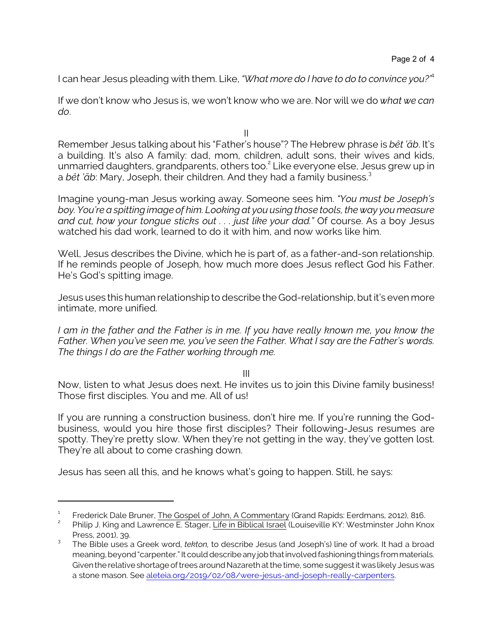I can hear Jesus pleading with them. Like, *"What more do I have to do to convince you?"*<sup>1</sup>

If we don't know who Jesus is, we won't know who we are. Nor will we do *what we can do*.

Remember Jesus talking about his "Father's house"? The Hebrew phrase is *bêt 'âb*. It's a building. It's also A family: dad, mom, children, adult sons, their wives and kids, unmarried daughters, grandparents, others too. 2 Like everyone else, Jesus grew up in a *bêt 'āb*: Mary, Joseph, their children. And they had a family business.<sup>3</sup>

Imagine young-man Jesus working away. Someone sees him. *"You must be Joseph's boy. You're a spitting image of him. Looking at you using those tools, the way you measure and cut, how your tongue sticks out . . . just like your dad."* Of course. As a boy Jesus watched his dad work, learned to do it with him, and now works like him.

Well, Jesus describes the Divine, which he is part of, as a father-and-son relationship. If he reminds people of Joseph, how much more does Jesus reflect God his Father. He's God's spitting image.

Jesus uses this human relationship to describe the God-relationship, butit's even more intimate, more unified.

*I am in the father and the Father is in me. If you have really known me, you know the Father. When you've seen me, you've seen the Father. What I say are the Father's words. The things I do are the Father working through me.*

III

Now, listen to what Jesus does next. He invites us to join this Divine family business! Those first disciples. You and me. All of us!

If you are running a construction business, don't hire me. If you're running the Godbusiness, would you hire those first disciples? Their following-Jesus resumes are spotty. They're pretty slow. When they're not getting in the way, they've gotten lost. They're all about to come crashing down.

Jesus has seen all this, and he knows what's going to happen. Still, he says:

II

<sup>1</sup> Frederick Dale Bruner, The Gospel of John, A Commentary (Grand Rapids: Eerdmans, 2012), 816.  $\overline{2}$ 

Philip J. King and Lawrence E. Stager, Life in Biblical Israel (Louiseville KY: Westminster John Knox Press, 2001), 39.

<sup>3</sup> The Bible uses a Greek word, *tekton,* to describe Jesus (and Joseph's) line of work. It had a broad meaning, beyond "carpenter." It could describe any job that involved fashioning things from materials. Given the relative shortage of trees around Nazareth at the time, some suggest it was likely Jesuswas a stone mason. See [aleteia.org/2019/02/08/were-jesus-and-joseph-really-carpenters](https://aleteia.org/2019/02/08/were-jesus-and-joseph-really-carpenters/).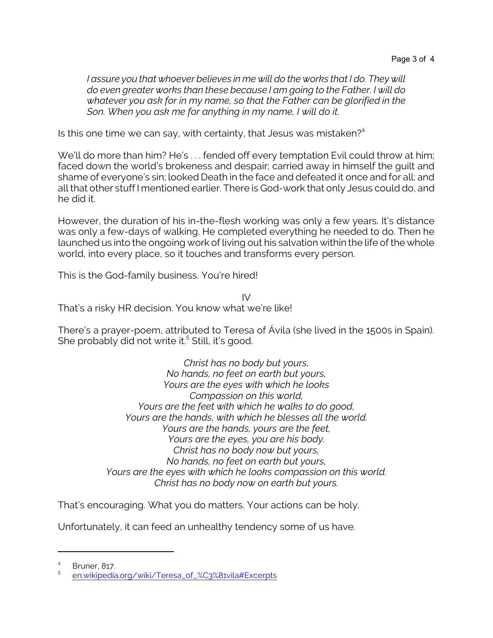*I assure you that whoever believes in me will do the works that I do. They will do even greater works than these because I am going to the Father. I will do whatever you ask for in my name, so that the Father can be glorified in the Son. When you ask me for anything in my name, I will do it*.

Is this one time we can say, with certainty, that Jesus was mistaken? $4$ 

We'll do more than him? He's ... fended off every temptation Evil could throw at him; faced down the world's brokeness and despair; carried away in himself the guilt and shame of everyone's sin; looked Death in the face and defeated it once and for all; and all that other stuff I mentioned earlier. There is God-work that only Jesus could do, and he did it.

However, the duration of his in-the-flesh working was only a few years. It's distance was only a few-days of walking. He completed everything he needed to do. Then he launched us into the ongoing work of living out his salvation within the life of the whole world, into every place, so it touches and transforms every person.

This is the God-family business. You're hired!

IV That's a risky HR decision. You know what we're like!

There's a prayer-poem, attributed to Teresa of Ávila (she lived in the 1500s in Spain). She probably did not write it.<sup>5</sup> Still, it's good.

> *Christ has no body but yours, No hands, no feet on earth but yours, Yours are the eyes with which he looks Compassion on this world, Yours are the feet with which he walks to do good, Yours are the hands, with which he blesses all the world. Yours are the hands, yours are the feet, Yours are the eyes, you are his body. Christ has no body now but yours, No hands, no feet on earth but yours, Yours are the eyes with which he looks compassion on this world. Christ has no body now on earth but yours.*

That's encouraging. What you do matters. Your actions can be holy.

Unfortunately, it can feed an unhealthy tendency some of us have.

<sup>4</sup> Bruner, 817.

<sup>5</sup> [en.wikipedia.org/wiki/Teresa\\_of\\_%C3%81vila#Excerpts](https://en.wikipedia.org/wiki/Teresa_of_%C3%81vila#Excerpts)